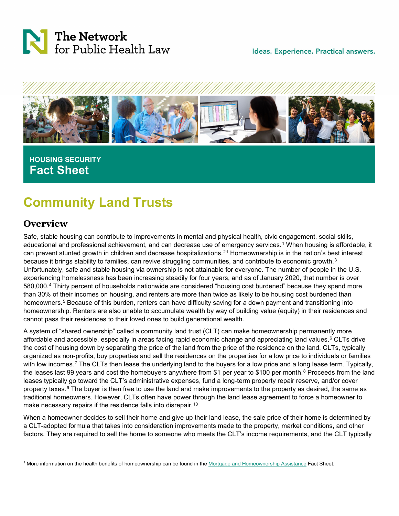

Ideas. Experience. Practical answers.



## **HOUSING SECURITY Fact Sheet**

# **Community Land Trusts**

## **Overview**

Safe, stable housing can contribute to improvements in mental and physical health, civic engagement, social skills, educational and professional achievement, and can decrease use of emergency services.[1](#page-3-0) When housing is affordable, it can prevent stunted growth in children and decrease hospitalizations.[2](#page-3-1)[1](#page-0-0) Homeownership is in the nation's best interest because it brings stability to families, can revive struggling communities, and contribute to economic growth.[3](#page-3-2) Unfortunately, safe and stable housing via ownership is not attainable for everyone. The number of people in the U.S. experiencing homelessness has been increasing steadily for four years, and as of January 2020, that number is over 580,000.[4](#page-3-3) Thirty percent of households nationwide are considered "housing cost burdened" because they spend more than 30% of their incomes on housing, and renters are more than twice as likely to be housing cost burdened than homeowners.<sup>[5](#page-3-4)</sup> Because of this burden, renters can have difficulty saving for a down payment and transitioning into homeownership. Renters are also unable to accumulate wealth by way of building value (equity) in their residences and cannot pass their residences to their loved ones to build generational wealth.

A system of "shared ownership" called a community land trust (CLT) can make homeownership permanently more affordable and accessible, especially in areas facing rapid economic change and appreciating land values.<sup>[6](#page-3-5)</sup> CLTs drive the cost of housing down by separating the price of the land from the price of the residence on the land. CLTs, typically organized as non-profits, buy properties and sell the residences on the properties for a low price to individuals or families with low incomes.<sup>[7](#page-3-6)</sup> The CLTs then lease the underlying land to the buyers for a low price and a long lease term. Typically, the leases last 99 years and cost the homebuyers anywhere from \$1 per year to \$100 per month.<sup>[8](#page-3-7)</sup> Proceeds from the land leases typically go toward the CLT's administrative expenses, fund a long-term property repair reserve, and/or cover property taxes.<sup>[9](#page-3-8)</sup> The buyer is then free to use the land and make improvements to the property as desired, the same as traditional homeowners. However, CLTs often have power through the land lease agreement to force a homeowner to make necessary repairs if the residence falls into disrepair.<sup>[10](#page-3-9)</sup>

When a homeowner decides to sell their home and give up their land lease, the sale price of their home is determined by a CLT-adopted formula that takes into consideration improvements made to the property, market conditions, and other factors. They are required to sell the home to someone who meets the CLT's income requirements, and the CLT typically

<span id="page-0-0"></span><sup>1</sup> More information on the health benefits of homeownership can be found in the [Mortgage and Homeownership Assistance](https://www.networkforphl.org/resources/mortgage-and-homeownership-assistance/) Fact Sheet.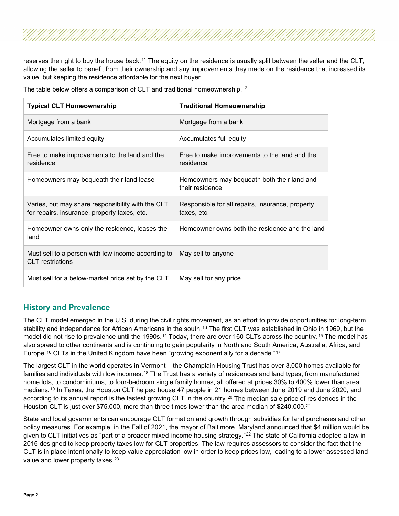reserves the right to buy the house back.<sup>[11](#page-3-10)</sup> The equity on the residence is usually split between the seller and the CLT, allowing the seller to benefit from their ownership and any improvements they made on the residence that increased its value, but keeping the residence affordable for the next buyer.

The table below offers a comparison of CLT and traditional homeownership.[12](#page-3-11)

| <b>Typical CLT Homeownership</b>                                                                  | <b>Traditional Homeownership</b>                                |
|---------------------------------------------------------------------------------------------------|-----------------------------------------------------------------|
| Mortgage from a bank                                                                              | Mortgage from a bank                                            |
| Accumulates limited equity                                                                        | Accumulates full equity                                         |
| Free to make improvements to the land and the<br>residence                                        | Free to make improvements to the land and the<br>residence      |
| Homeowners may bequeath their land lease                                                          | Homeowners may bequeath both their land and<br>their residence  |
| Varies, but may share responsibility with the CLT<br>for repairs, insurance, property taxes, etc. | Responsible for all repairs, insurance, property<br>taxes, etc. |
| Homeowner owns only the residence, leases the<br>land                                             | Homeowner owns both the residence and the land                  |
| Must sell to a person with low income according to<br><b>CLT</b> restrictions                     | May sell to anyone                                              |
| Must sell for a below-market price set by the CLT                                                 | May sell for any price                                          |

### **History and Prevalence**

The CLT model emerged in the U.S. during the civil rights movement, as an effort to provide opportunities for long-term stability and independence for African Americans in the south.<sup>[13](#page-3-12)</sup> The first CLT was established in Ohio in 1969, but the model did not rise to prevalence until the 1990s.<sup>[14](#page-3-13)</sup> Today, there are over 160 CLTs across the country.<sup>[15](#page-3-14)</sup> The model has also spread to other continents and is continuing to gain popularity in North and South America, Australia, Africa, and Europe.<sup>[16](#page-3-15)</sup> CLTs in the United Kingdom have been "growing exponentially for a decade."<sup>[17](#page-3-16)</sup>

The largest CLT in the world operates in Vermont – the Champlain Housing Trust has over 3,000 homes available for families and individuals with low incomes.[18](#page-3-17) The Trust has a variety of residences and land types, from manufactured home lots, to condominiums, to four-bedroom single family homes, all offered at prices 30% to 400% lower than area medians.[19](#page-3-18) In Texas, the Houston CLT helped house 47 people in 21 homes between June 2019 and June 2020, and according to its annual report is the fastest growing CLT in the country.<sup>[20](#page-3-19)</sup> The median sale price of residences in the Houston CLT is just over \$75,000, more than three times lower than the area median of \$240,000.[21](#page-3-20)

State and local governments can encourage CLT formation and growth through subsidies for land purchases and other policy measures. For example, in the Fall of 2021, the mayor of Baltimore, Maryland announced that \$4 million would be given to CLT initiatives as "part of a broader mixed-income housing strategy."<sup>[22](#page-3-21)</sup> The state of California adopted a law in 2016 designed to keep property taxes low for CLT properties. The law requires assessors to consider the fact that the CLT is in place intentionally to keep value appreciation low in order to keep prices low, leading to a lower assessed land value and lower property taxes.<sup>[23](#page-3-22)</sup>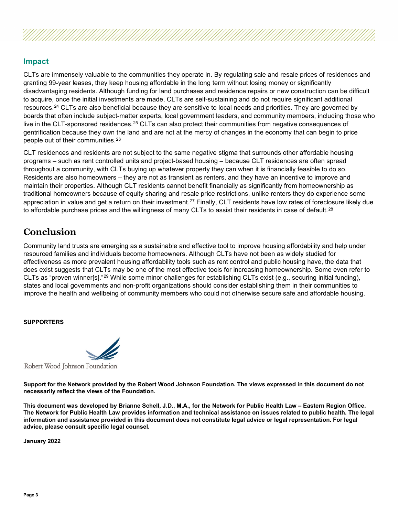#### **Impact**

CLTs are immensely valuable to the communities they operate in. By regulating sale and resale prices of residences and granting 99-year leases, they keep housing affordable in the long term without losing money or significantly disadvantaging residents. Although funding for land purchases and residence repairs or new construction can be difficult to acquire, once the initial investments are made, CLTs are self-sustaining and do not require significant additional resources.<sup>[24](#page-3-23)</sup> CLTs are also beneficial because they are sensitive to local needs and priorities. They are governed by boards that often include subject-matter experts, local government leaders, and community members, including those who live in the CLT-sponsored residences.<sup>[25](#page-3-24)</sup> CLTs can also protect their communities from negative consequences of gentrification because they own the land and are not at the mercy of changes in the economy that can begin to price people out of their communities.[26](#page-3-25)

CLT residences and residents are not subject to the same negative stigma that surrounds other affordable housing programs – such as rent controlled units and project-based housing – because CLT residences are often spread throughout a community, with CLTs buying up whatever property they can when it is financially feasible to do so. Residents are also homeowners – they are not as transient as renters, and they have an incentive to improve and maintain their properties. Although CLT residents cannot benefit financially as significantly from homeownership as traditional homeowners because of equity sharing and resale price restrictions, unlike renters they do experience some appreciation in value and get a return on their investment.<sup>[27](#page-3-26)</sup> Finally, CLT residents have low rates of foreclosure likely due to affordable purchase prices and the willingness of many CLTs to assist their residents in case of default.<sup>[28](#page-3-27)</sup>

## **Conclusion**

Community land trusts are emerging as a sustainable and effective tool to improve housing affordability and help under resourced families and individuals become homeowners. Although CLTs have not been as widely studied for effectiveness as more prevalent housing affordability tools such as rent control and public housing have, the data that does exist suggests that CLTs may be one of the most effective tools for increasing homeownership. Some even refer to CLTs as "proven winner[s]."[29](#page-3-28) While some minor challenges for establishing CLTs exist (e.g., securing initial funding), states and local governments and non-profit organizations should consider establishing them in their communities to improve the health and wellbeing of community members who could not otherwise secure safe and affordable housing.

#### **SUPPORTERS**



**Support for the Network provided by the Robert Wood Johnson Foundation. The views expressed in this document do not necessarily reflect the views of the Foundation.**

**This document was developed by Brianne Schell, J.D., M.A., for the Network for Public Health Law – Eastern Region Office. The Network for Public Health Law provides information and technical assistance on issues related to public health. The legal information and assistance provided in this document does not constitute legal advice or legal representation. For legal advice, please consult specific legal counsel.**

**January 2022**